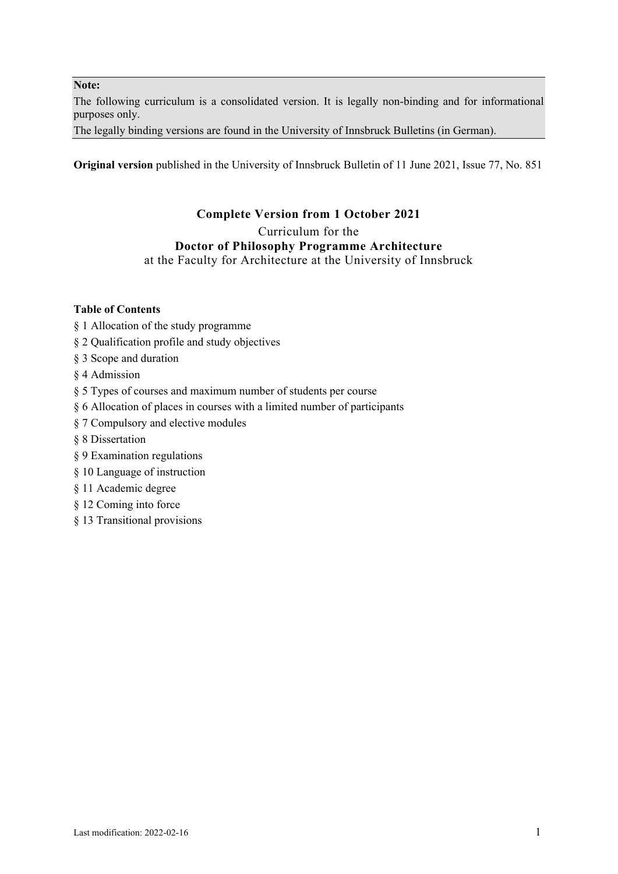#### **Note:**

The following curriculum is a consolidated version. It is legally non-binding and for informational purposes only.

The legally binding versions are found in the University of Innsbruck Bulletins (in German).

**Original version** published in the University of Innsbruck Bulletin of 11 June 2021, Issue 77, No. 851

# **Complete Version from 1 October 2021**

Curriculum for the

# **Doctor of Philosophy Programme Architecture**

at the Faculty for Architecture at the University of Innsbruck

# **Table of Contents**

- § 1 Allocation of the study programme
- § 2 Qualification profile and study objectives
- § 3 Scope and duration
- § 4 Admission
- § 5 Types of courses and maximum number of students per course
- § 6 Allocation of places in courses with a limited number of participants
- § 7 Compulsory and elective modules
- § 8 Dissertation
- § 9 Examination regulations
- § 10 Language of instruction
- § 11 Academic degree
- § 12 Coming into force
- § 13 Transitional provisions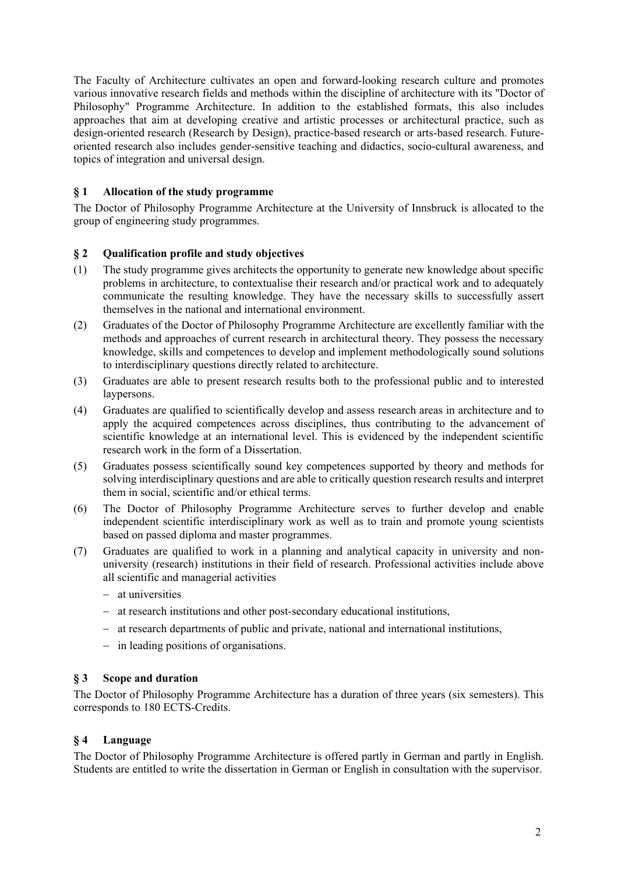The Faculty of Architecture cultivates an open and forward-looking research culture and promotes various innovative research fields and methods within the discipline of architecture with its "Doctor of Philosophy" Programme Architecture. In addition to the established formats, this also includes approaches that aim at developing creative and artistic processes or architectural practice, such as design-oriented research (Research by Design), practice-based research or arts-based research. Futureoriented research also includes gender-sensitive teaching and didactics, socio-cultural awareness, and topics of integration and universal design.

# **§ 1 Allocation of the study programme**

The Doctor of Philosophy Programme Architecture at the University of Innsbruck is allocated to the group of engineering study programmes.

#### **§ 2 Qualification profile and study objectives**

- (1) The study programme gives architects the opportunity to generate new knowledge about specific problems in architecture, to contextualise their research and/or practical work and to adequately communicate the resulting knowledge. They have the necessary skills to successfully assert themselves in the national and international environment.
- (2) Graduates of the Doctor of Philosophy Programme Architecture are excellently familiar with the methods and approaches of current research in architectural theory. They possess the necessary knowledge, skills and competences to develop and implement methodologically sound solutions to interdisciplinary questions directly related to architecture.
- (3) Graduates are able to present research results both to the professional public and to interested laypersons.
- (4) Graduates are qualified to scientifically develop and assess research areas in architecture and to apply the acquired competences across disciplines, thus contributing to the advancement of scientific knowledge at an international level. This is evidenced by the independent scientific research work in the form of a Dissertation.
- (5) Graduates possess scientifically sound key competences supported by theory and methods for solving interdisciplinary questions and are able to critically question research results and interpret them in social, scientific and/or ethical terms.
- (6) The Doctor of Philosophy Programme Architecture serves to further develop and enable independent scientific interdisciplinary work as well as to train and promote young scientists based on passed diploma and master programmes.
- (7) Graduates are qualified to work in a planning and analytical capacity in university and nonuniversity (research) institutions in their field of research. Professional activities include above all scientific and managerial activities
	- at universities
	- at research institutions and other post-secondary educational institutions,
	- at research departments of public and private, national and international institutions,
	- in leading positions of organisations.

#### **§ 3 Scope and duration**

The Doctor of Philosophy Programme Architecture has a duration of three years (six semesters). This corresponds to 180 ECTS-Credits.

# **§ 4 Language**

The Doctor of Philosophy Programme Architecture is offered partly in German and partly in English. Students are entitled to write the dissertation in German or English in consultation with the supervisor.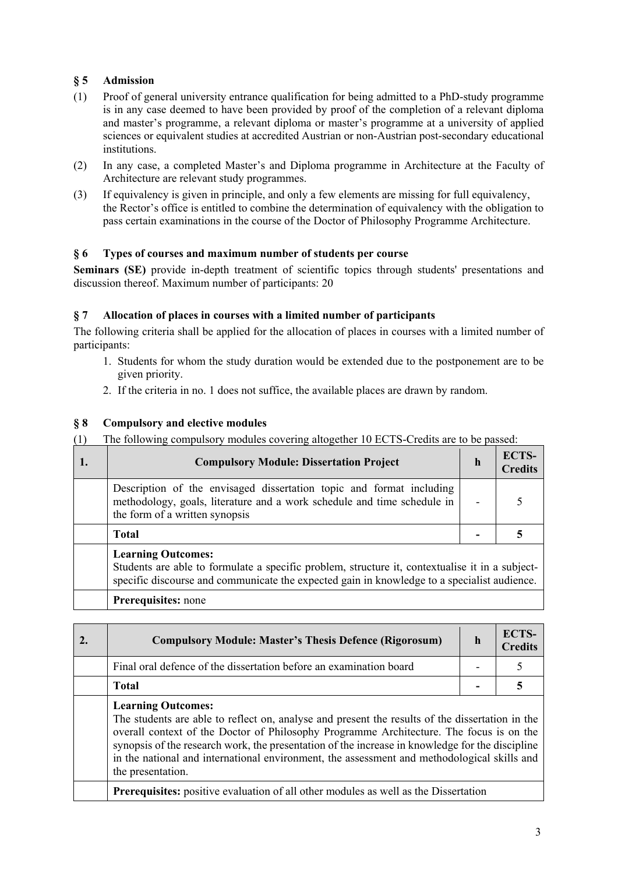# **§ 5 Admission**

- (1) Proof of general university entrance qualification for being admitted to a PhD-study programme is in any case deemed to have been provided by proof of the completion of a relevant diploma and master's programme, a relevant diploma or master's programme at a university of applied sciences or equivalent studies at accredited Austrian or non-Austrian post-secondary educational institutions.
- (2) In any case, a completed Master's and Diploma programme in Architecture at the Faculty of Architecture are relevant study programmes.
- (3) If equivalency is given in principle, and only a few elements are missing for full equivalency, the Rector's office is entitled to combine the determination of equivalency with the obligation to pass certain examinations in the course of the Doctor of Philosophy Programme Architecture.

# **§ 6 Types of courses and maximum number of students per course**

**Seminars (SE)** provide in-depth treatment of scientific topics through students' presentations and discussion thereof. Maximum number of participants: 20

# **§ 7 Allocation of places in courses with a limited number of participants**

The following criteria shall be applied for the allocation of places in courses with a limited number of participants:

- 1. Students for whom the study duration would be extended due to the postponement are to be given priority.
- 2. If the criteria in no. 1 does not suffice, the available places are drawn by random.

### **§ 8 Compulsory and elective modules**

(1) The following compulsory modules covering altogether 10 ECTS-Credits are to be passed:

| -1. | <b>Compulsory Module: Dissertation Project</b>                                                                                                                                                                              | $\mathbf h$ | <b>ECTS-</b><br><b>Credits</b> |
|-----|-----------------------------------------------------------------------------------------------------------------------------------------------------------------------------------------------------------------------------|-------------|--------------------------------|
|     | Description of the envisaged dissertation topic and format including<br>methodology, goals, literature and a work schedule and time schedule in<br>the form of a written synopsis                                           |             |                                |
|     | <b>Total</b>                                                                                                                                                                                                                |             |                                |
|     | <b>Learning Outcomes:</b><br>Students are able to formulate a specific problem, structure it, contextualise it in a subject-<br>specific discourse and communicate the expected gain in knowledge to a specialist audience. |             |                                |

#### **Prerequisites:** none

| 2. | <b>Compulsory Module: Master's Thesis Defence (Rigorosum)</b>                                                                                                                                                                                                                                                                                                                                                             | h | <b>ECTS-</b><br><b>Credits</b> |
|----|---------------------------------------------------------------------------------------------------------------------------------------------------------------------------------------------------------------------------------------------------------------------------------------------------------------------------------------------------------------------------------------------------------------------------|---|--------------------------------|
|    | Final oral defence of the dissertation before an examination board                                                                                                                                                                                                                                                                                                                                                        |   |                                |
|    | <b>Total</b>                                                                                                                                                                                                                                                                                                                                                                                                              |   |                                |
|    | <b>Learning Outcomes:</b><br>The students are able to reflect on, analyse and present the results of the dissertation in the<br>overall context of the Doctor of Philosophy Programme Architecture. The focus is on the<br>synopsis of the research work, the presentation of the increase in knowledge for the discipline<br>in the national and international environment, the assessment and methodological skills and |   |                                |

the presentation. **Prerequisites:** positive evaluation of all other modules as well as the Dissertation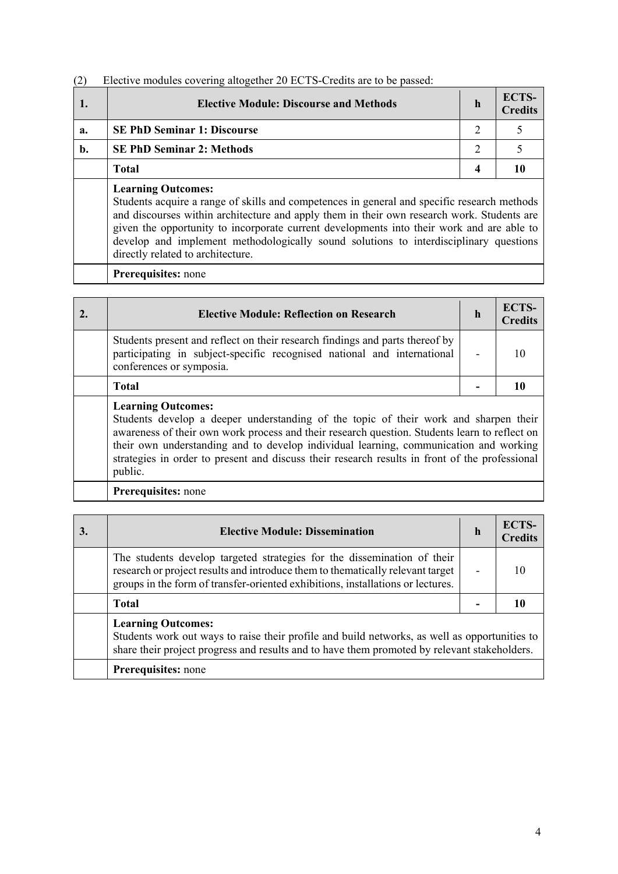# (2) Elective modules covering altogether 20 ECTS-Credits are to be passed:

|    | <b>Elective Module: Discourse and Methods</b>                                                                                                                                                                                                                                                                       | $\mathbf h$ | <b>ECTS-</b><br><b>Credits</b> |
|----|---------------------------------------------------------------------------------------------------------------------------------------------------------------------------------------------------------------------------------------------------------------------------------------------------------------------|-------------|--------------------------------|
| a. | <b>SE PhD Seminar 1: Discourse</b>                                                                                                                                                                                                                                                                                  | 2           |                                |
| b. | <b>SE PhD Seminar 2: Methods</b>                                                                                                                                                                                                                                                                                    | 2           |                                |
|    | Total                                                                                                                                                                                                                                                                                                               | 4           |                                |
|    | <b>Learning Outcomes:</b><br>Students acquire a range of skills and competences in general and specific research methods<br>and discourses within architecture and apply them in their own research work. Students are<br>given the opportunity to incorporate current developments into their work and are able to |             |                                |

develop and implement methodologically sound solutions to interdisciplinary questions

**Prerequisites:** none

directly related to architecture.

| <b>Elective Module: Reflection on Research</b>                                                                                                                                      | h                        | <b>ECTS-</b><br><b>Credits</b> |
|-------------------------------------------------------------------------------------------------------------------------------------------------------------------------------------|--------------------------|--------------------------------|
| Students present and reflect on their research findings and parts thereof by<br>participating in subject-specific recognised national and international<br>conferences or symposia. | $\overline{\phantom{0}}$ |                                |
| <b>Total</b>                                                                                                                                                                        |                          |                                |
| <b>Learning Outcomes:</b><br>$\mathbf{1}$ , $\mathbf{1}$ , $\mathbf{0}$ , $\mathbf{1}$ , $\mathbf{0}$ , $\mathbf{1}$ , $\mathbf{1}$ , $\mathbf{1}$ , $\mathbf{1}$ , $\mathbf{1}$    |                          |                                |

Students develop a deeper understanding of the topic of their work and sharpen their awareness of their own work process and their research question. Students learn to reflect on their own understanding and to develop individual learning, communication and working strategies in order to present and discuss their research results in front of the professional public.

# **Prerequisites:** none

| <b>Elective Module: Dissemination</b>                                                                                                                                                                                                        | h | <b>ECTS-</b><br><b>Credits</b> |
|----------------------------------------------------------------------------------------------------------------------------------------------------------------------------------------------------------------------------------------------|---|--------------------------------|
| The students develop targeted strategies for the dissemination of their<br>research or project results and introduce them to thematically relevant target<br>groups in the form of transfer-oriented exhibitions, installations or lectures. |   |                                |
| <b>Total</b>                                                                                                                                                                                                                                 |   |                                |
| <b>Learning Outcomes:</b><br>Students work out ways to raise their profile and build networks, as well as opportunities to<br>share their project progress and results and to have them promoted by relevant stakeholders.                   |   |                                |
| Prerequisites: none                                                                                                                                                                                                                          |   |                                |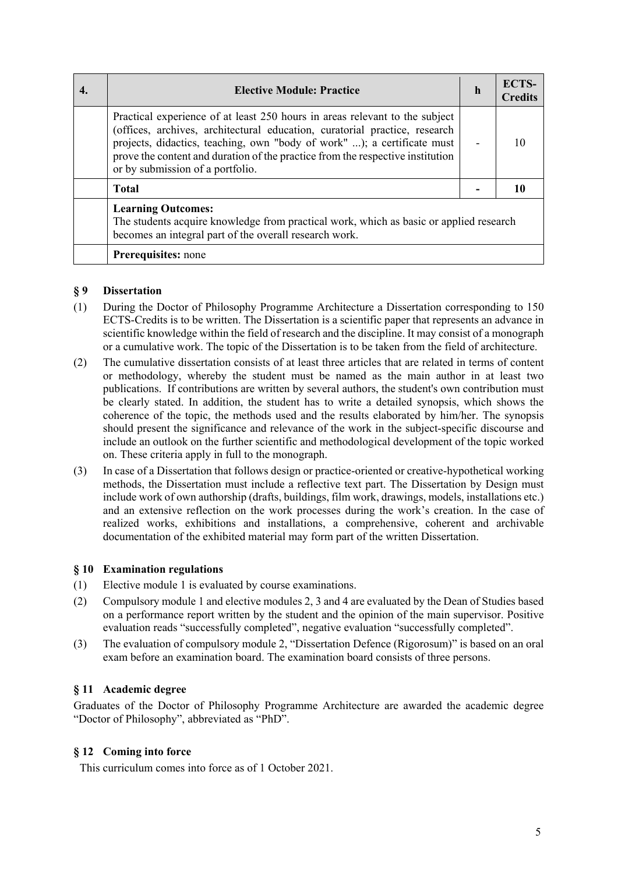| <b>Elective Module: Practice</b>                                                                                                                                                                                                                                                                                                                           | h | <b>ECTS-</b><br><b>Credits</b> |
|------------------------------------------------------------------------------------------------------------------------------------------------------------------------------------------------------------------------------------------------------------------------------------------------------------------------------------------------------------|---|--------------------------------|
| Practical experience of at least 250 hours in areas relevant to the subject<br>(offices, archives, architectural education, curatorial practice, research<br>projects, didactics, teaching, own "body of work" ); a certificate must<br>prove the content and duration of the practice from the respective institution<br>or by submission of a portfolio. |   |                                |
| <b>Total</b>                                                                                                                                                                                                                                                                                                                                               |   |                                |
| <b>Learning Outcomes:</b><br>The students acquire knowledge from practical work, which as basic or applied research<br>becomes an integral part of the overall research work.                                                                                                                                                                              |   |                                |
| Prerequisites: none                                                                                                                                                                                                                                                                                                                                        |   |                                |

### **§ 9 Dissertation**

- (1) During the Doctor of Philosophy Programme Architecture a Dissertation corresponding to 150 ECTS-Credits is to be written. The Dissertation is a scientific paper that represents an advance in scientific knowledge within the field of research and the discipline. It may consist of a monograph or a cumulative work. The topic of the Dissertation is to be taken from the field of architecture.
- (2) The cumulative dissertation consists of at least three articles that are related in terms of content or methodology, whereby the student must be named as the main author in at least two publications. If contributions are written by several authors, the student's own contribution must be clearly stated. In addition, the student has to write a detailed synopsis, which shows the coherence of the topic, the methods used and the results elaborated by him/her. The synopsis should present the significance and relevance of the work in the subject-specific discourse and include an outlook on the further scientific and methodological development of the topic worked on. These criteria apply in full to the monograph.
- (3) In case of a Dissertation that follows design or practice-oriented or creative-hypothetical working methods, the Dissertation must include a reflective text part. The Dissertation by Design must include work of own authorship (drafts, buildings, film work, drawings, models, installations etc.) and an extensive reflection on the work processes during the work's creation. In the case of realized works, exhibitions and installations, a comprehensive, coherent and archivable documentation of the exhibited material may form part of the written Dissertation.

# **§ 10 Examination regulations**

- (1) Elective module 1 is evaluated by course examinations.
- (2) Compulsory module 1 and elective modules 2, 3 and 4 are evaluated by the Dean of Studies based on a performance report written by the student and the opinion of the main supervisor. Positive evaluation reads "successfully completed", negative evaluation "successfully completed".
- (3) The evaluation of compulsory module 2, "Dissertation Defence (Rigorosum)" is based on an oral exam before an examination board. The examination board consists of three persons.

# **§ 11 Academic degree**

Graduates of the Doctor of Philosophy Programme Architecture are awarded the academic degree "Doctor of Philosophy", abbreviated as "PhD".

#### **§ 12 Coming into force**

This curriculum comes into force as of 1 October 2021.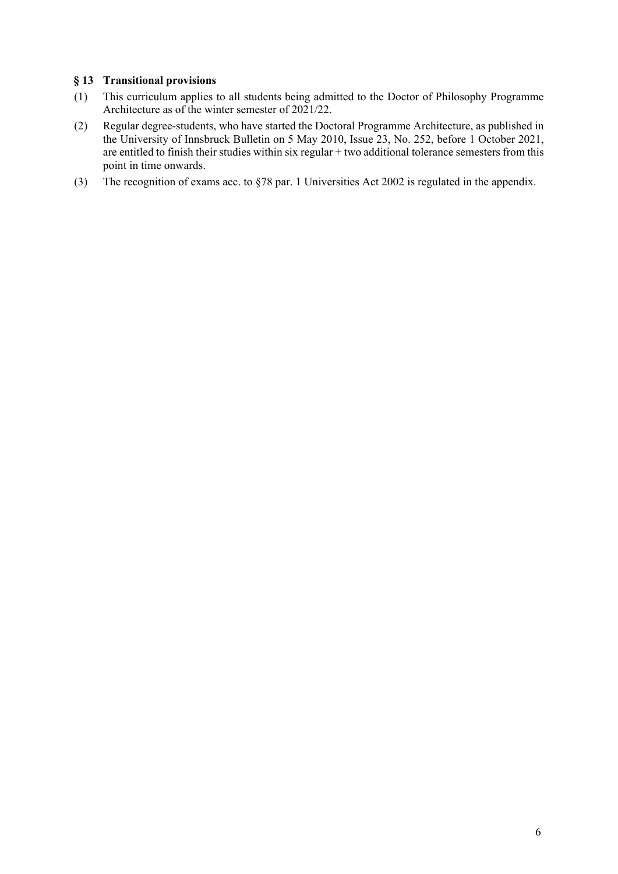### **§ 13 Transitional provisions**

- (1) This curriculum applies to all students being admitted to the Doctor of Philosophy Programme Architecture as of the winter semester of 2021/22.
- (2) Regular degree-students, who have started the Doctoral Programme Architecture, as published in the University of Innsbruck Bulletin on 5 May 2010, Issue 23, No. 252, before 1 October 2021, are entitled to finish their studies within six regular + two additional tolerance semesters from this point in time onwards.
- (3) The recognition of exams acc. to §78 par. 1 Universities Act 2002 is regulated in the appendix.